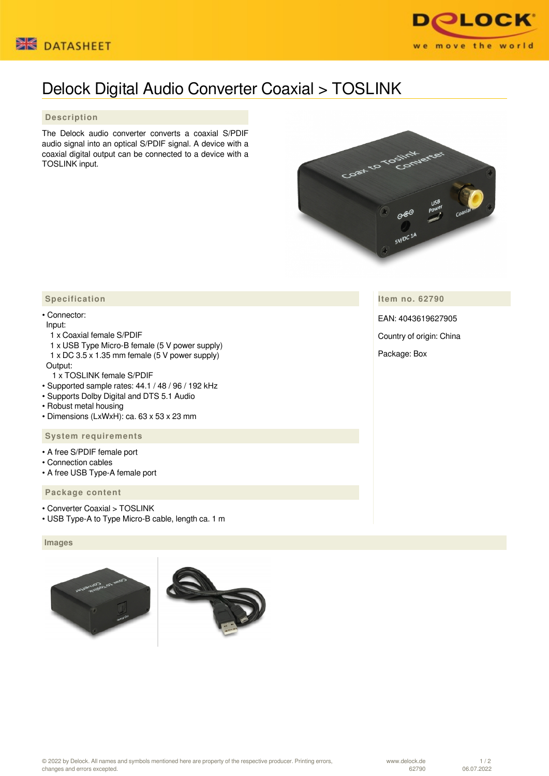



# Delock Digital Audio Converter Coaxial > TOSLINK

## **Description**

The Delock audio converter converts a coaxial S/PDIF audio signal into an optical S/PDIF signal. A device with a coaxial digital output can be connected to a device with a TOSLINK input.



**Item no. 62790**

EAN: 4043619627905

Country of origin: China

Package: Box

# **Specification**

#### • Connector:

#### Input:

- 1 x Coaxial female S/PDIF
- 1 x USB Type Micro-B female (5 V power supply) 1 x DC 3.5 x 1.35 mm female (5 V power supply)
- Output:
	- 1 x TOSLINK female S/PDIF
- Supported sample rates: 44.1 / 48 / 96 / 192 kHz
- Supports Dolby Digital and DTS 5.1 Audio
- Robust metal housing
- Dimensions (LxWxH): ca. 63 x 53 x 23 mm

#### **System requirements**

- A free S/PDIF female port
- Connection cables
- A free USB Type-A female port

## **Package content**

- Converter Coaxial > TOSLINK
- USB Type-A to Type Micro-B cable, length ca. 1 m

## **Images**